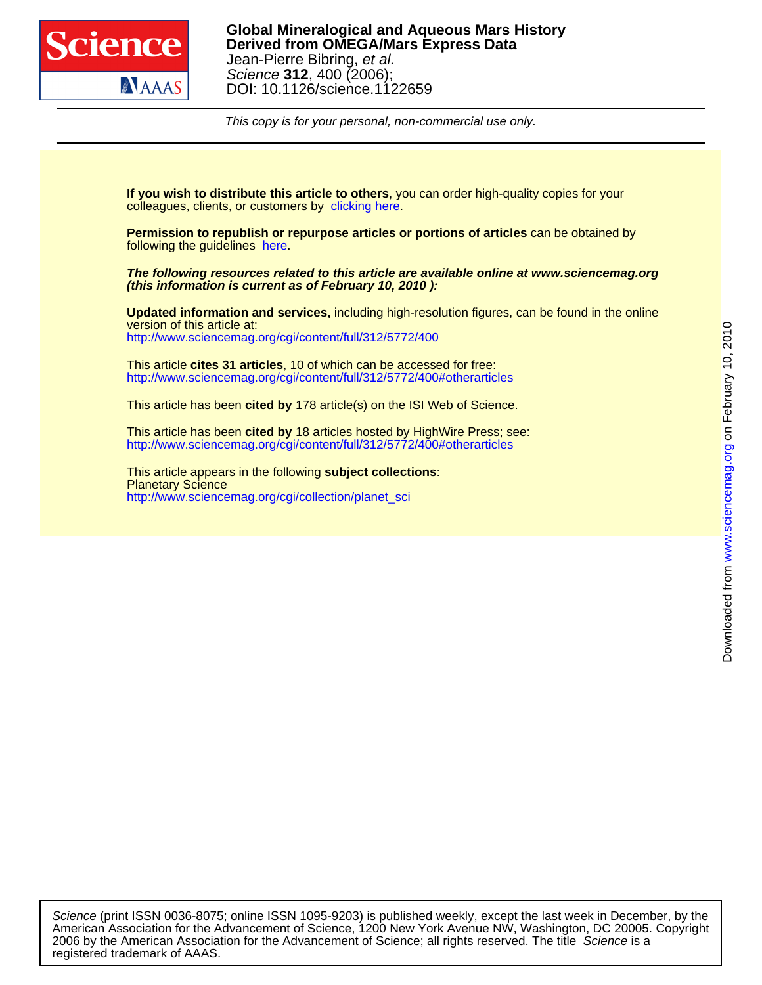

DOI: 10.1126/science.1122659 Science **312**, 400 (2006); Jean-Pierre Bibring, et al. **Derived from OMEGA/Mars Express Data Global Mineralogical and Aqueous Mars History**

This copy is for your personal, non-commercial use only.

colleagues, clients, or customers by [clicking here.](http://www.sciencemag.org/about/permissions.dtl) **If you wish to distribute this article to others**, you can order high-quality copies for your

following the guidelines [here.](http://www.sciencemag.org/help/about/permissions.dtl) **Permission to republish or repurpose articles or portions of articles** can be obtained by

**(this information is current as of February 10, 2010 ): The following resources related to this article are available online at www.sciencemag.org**

<http://www.sciencemag.org/cgi/content/full/312/5772/400> version of this article at: **Updated information and services,** including high-resolution figures, can be found in the online

<http://www.sciencemag.org/cgi/content/full/312/5772/400#otherarticles> This article **cites 31 articles**, 10 of which can be accessed for free:

This article has been **cited by** 178 article(s) on the ISI Web of Science.

<http://www.sciencemag.org/cgi/content/full/312/5772/400#otherarticles> This article has been **cited by** 18 articles hosted by HighWire Press; see:

[http://www.sciencemag.org/cgi/collection/planet\\_sci](http://www.sciencemag.org/cgi/collection/planet_sci) Planetary Science This article appears in the following **subject collections**:

registered trademark of AAAS. 2006 by the American Association for the Advancement of Science; all rights reserved. The title Science is a American Association for the Advancement of Science, 1200 New York Avenue NW, Washington, DC 20005. Copyright Science (print ISSN 0036-8075; online ISSN 1095-9203) is published weekly, except the last week in December, by the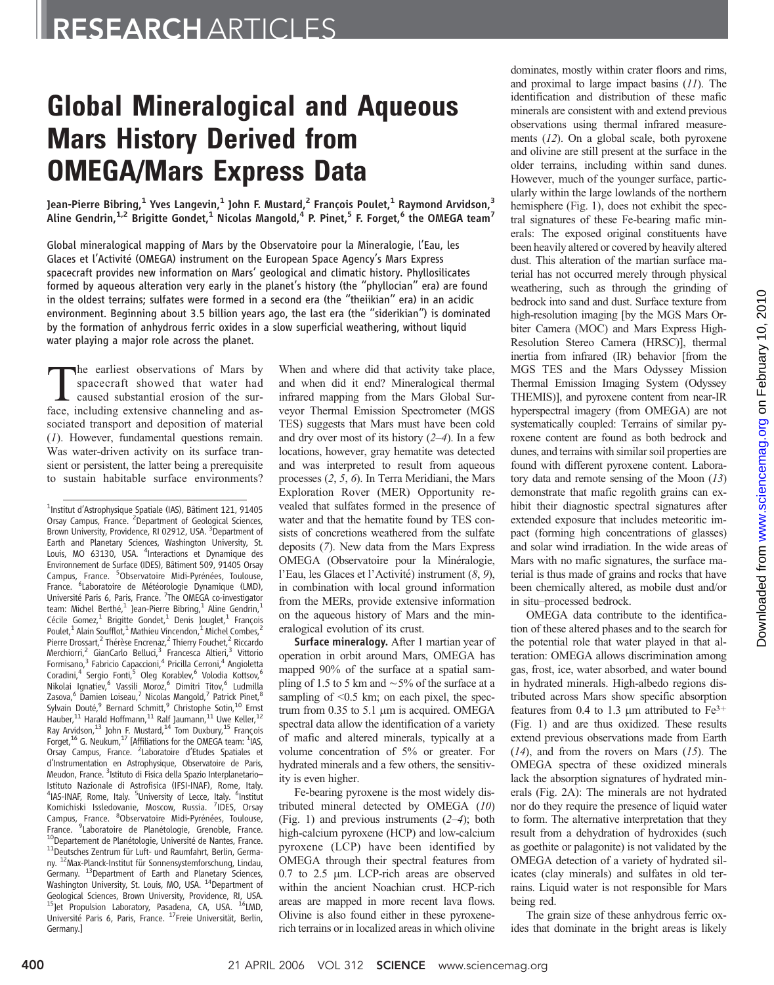## Global Mineralogical and Aqueous Mars History Derived from OMEGA/Mars Express Data

Jean-Pierre Bibring,<sup>1</sup> Yves Langevin,<sup>1</sup> John F. Mustard,<sup>2</sup> François Poulet,<sup>1</sup> Raymond Arvidson,<sup>3</sup> Aline Gendrin,<sup>1,2</sup> Brigitte Gondet,<sup>1</sup> Nicolas Mangold,<sup>4</sup> P. Pinet,<sup>5</sup> F. Forget,<sup>6</sup> the OMEGA team<sup>7</sup>

Global mineralogical mapping of Mars by the Observatoire pour la Mineralogie, l'Eau, les Glaces et l'Activité (OMEGA) instrument on the European Space Agency's Mars Express spacecraft provides new information on Mars' geological and climatic history. Phyllosilicates formed by aqueous alteration very early in the planet's history (the ''phyllocian'' era) are found in the oldest terrains; sulfates were formed in a second era (the ''theiikian'' era) in an acidic environment. Beginning about 3.5 billion years ago, the last era (the ''siderikian'') is dominated by the formation of anhydrous ferric oxides in a slow superficial weathering, without liquid water playing a major role across the planet.

The earliest observations of Mars by<br>spacecraft showed that water had<br>caused substantial erosion of the sur-<br>face including extensive channeling and asspacecraft showed that water had face, including extensive channeling and associated transport and deposition of material (1). However, fundamental questions remain. Was water-driven activity on its surface transient or persistent, the latter being a prerequisite to sustain habitable surface environments?

When and where did that activity take place, and when did it end? Mineralogical thermal infrared mapping from the Mars Global Surveyor Thermal Emission Spectrometer (MGS TES) suggests that Mars must have been cold and dry over most of its history  $(2-4)$ . In a few locations, however, gray hematite was detected and was interpreted to result from aqueous processes (2, 5, 6). In Terra Meridiani, the Mars Exploration Rover (MER) Opportunity revealed that sulfates formed in the presence of water and that the hematite found by TES consists of concretions weathered from the sulfate deposits (7). New data from the Mars Express OMEGA (Observatoire pour la Minéralogie, l'Eau, les Glaces et l'Activité) instrument (8, 9), in combination with local ground information from the MERs, provide extensive information on the aqueous history of Mars and the mineralogical evolution of its crust.

**Surface mineralogy.** After 1 martian year of operation in orbit around Mars, OMEGA has mapped 90% of the surface at a spatial sampling of 1.5 to 5 km and  $\sim$  5% of the surface at a sampling of  $\leq 0.5$  km; on each pixel, the spectrum from  $0.35$  to  $5.1 \mu m$  is acquired. OMEGA spectral data allow the identification of a variety of mafic and altered minerals, typically at a volume concentration of 5% or greater. For hydrated minerals and a few others, the sensitivity is even higher.

Fe-bearing pyroxene is the most widely distributed mineral detected by OMEGA (10) (Fig. 1) and previous instruments (2–4); both high-calcium pyroxene (HCP) and low-calcium pyroxene (LCP) have been identified by OMEGA through their spectral features from 0.7 to 2.5 mm. LCP-rich areas are observed within the ancient Noachian crust. HCP-rich areas are mapped in more recent lava flows. Olivine is also found either in these pyroxenerich terrains or in localized areas in which olivine

dominates, mostly within crater floors and rims, and proximal to large impact basins  $(11)$ . The identification and distribution of these mafic minerals are consistent with and extend previous observations using thermal infrared measurements (12). On a global scale, both pyroxene and olivine are still present at the surface in the older terrains, including within sand dunes. However, much of the younger surface, particularly within the large lowlands of the northern hemisphere (Fig. 1), does not exhibit the spectral signatures of these Fe-bearing mafic minerals: The exposed original constituents have been heavily altered or covered by heavily altered dust. This alteration of the martian surface material has not occurred merely through physical weathering, such as through the grinding of bedrock into sand and dust. Surface texture from high-resolution imaging [by the MGS Mars Orbiter Camera (MOC) and Mars Express High-Resolution Stereo Camera (HRSC)], thermal inertia from infrared (IR) behavior [from the MGS TES and the Mars Odyssey Mission Thermal Emission Imaging System (Odyssey THEMIS)], and pyroxene content from near-IR hyperspectral imagery (from OMEGA) are not systematically coupled: Terrains of similar pyroxene content are found as both bedrock and dunes, and terrains with similar soil properties are found with different pyroxene content. Laboratory data and remote sensing of the Moon (13) demonstrate that mafic regolith grains can exhibit their diagnostic spectral signatures after extended exposure that includes meteoritic impact (forming high concentrations of glasses) and solar wind irradiation. In the wide areas of Mars with no mafic signatures, the surface material is thus made of grains and rocks that have been chemically altered, as mobile dust and/or in situ–processed bedrock.

OMEGA data contribute to the identification of these altered phases and to the search for the potential role that water played in that alteration: OMEGA allows discrimination among gas, frost, ice, water absorbed, and water bound in hydrated minerals. High-albedo regions distributed across Mars show specific absorption features from 0.4 to 1.3  $\mu$ m attributed to Fe<sup>3+</sup> (Fig. 1) and are thus oxidized. These results extend previous observations made from Earth  $(14)$ , and from the rovers on Mars  $(15)$ . The OMEGA spectra of these oxidized minerals lack the absorption signatures of hydrated minerals (Fig. 2A): The minerals are not hydrated nor do they require the presence of liquid water to form. The alternative interpretation that they result from a dehydration of hydroxides (such as goethite or palagonite) is not validated by the OMEGA detection of a variety of hydrated silicates (clay minerals) and sulfates in old terrains. Liquid water is not responsible for Mars being red.

The grain size of these anhydrous ferric oxides that dominate in the bright areas is likely

<sup>&</sup>lt;sup>1</sup>Institut d'Astrophysique Spatiale (IAS), Bâtiment 121, 91405 Orsay Campus, France. <sup>2</sup>Department of Geological Sciences, Brown University, Providence, RI 02912, USA. <sup>3</sup>Department of Earth and Planetary Sciences, Washington University, St. Louis, MO 63130, USA. <sup>4</sup>Interactions et Dynamique des Environnement de Surface (IDES), Bâtiment 509, 91405 Orsay Campus, France. <sup>5</sup>Observatoire Midi-Pyrénées, Toulouse, France. <sup>6</sup>Laboratoire de Météorologie Dynamique (LMD), Université Paris 6, Paris, France. <sup>7</sup>The OMEGA co-investigator team: Michel Berthé,<sup>1</sup> Jean-Pierre Bibring,<sup>1</sup> Aline Gendrin, Cécile Gomez,<sup>1</sup> Brigitte Gondet,<sup>1</sup> Denis Jouglet,<sup>1</sup> François Poulet,<sup>1</sup> Alain Soufflot,<sup>1</sup> Mathieu Vincendon,<sup>1</sup> Michel Combes,<sup>2</sup> Pierre Drossart,<sup>2</sup> Thérèse Encrenaz,<sup>2</sup> Thierry Fouchet,<sup>2</sup> Riccardo Merchiorri,<sup>2</sup> GianCarlo Belluci,<sup>3</sup> Francesca Altieri,<sup>3</sup> Vittorio Formisano,<sup>3</sup> Fabricio Capaccioni,<sup>4</sup> Pricilla Cerroni,<sup>4</sup> Angioletta Coradini,<sup>4</sup> Sergio Fonti,<sup>5</sup> Oleg Korablev,<sup>6</sup> Volodia Kottsov,<sup>6</sup> Nikolai Ignatiev,<sup>6</sup> Vassili Moroz,<sup>6</sup> Dimitri Titov,<sup>6</sup> Ludmilla Zasova,<sup>6</sup> Damien Loiseau,<sup>7</sup> Nicolas Mangold,<sup>7</sup> Patrick Pinet,<sup>8</sup> Sylvain Douté,<sup>9</sup> Bernard Schmitt,<sup>9</sup> Christophe Sotin,<sup>10</sup> Ernst Hauber,<sup>11</sup> Harald Hoffmann,<sup>11</sup> Ralf Jaumann,<sup>11</sup> Uwe Keller,<sup>12</sup> Ray Arvidson,  $^{13}$  John F. Mustard,  $^{14}$  Tom Duxbury,  $^{15}$  François Forget,<sup>16</sup> G. Neukum,<sup>17</sup> [Affiliations for the OMEGA team: <sup>1</sup>IAS, Orsay Campus, France. <sup>2</sup>Laboratoire d'Etudes Spatiales et d'Instrumentation en Astrophysique, Observatoire de Paris, Meudon, France. <sup>3</sup>Istituto di Fisica della Spazio Interplanetario-Istituto Nazionale di Astrofisica (IFSI-INAF), Rome, Italy. <sup>4</sup>IAS-INAF, Rome, Italy. <sup>5</sup>University of Lecce, Italy. <sup>6</sup>Institut Komichiski Issledovanie, Moscow, Russia. <sup>7</sup>IDES, Orsay Campus, France. <sup>8</sup>Observatoire Midi-Pyrénées, Toulouse, France. <sup>9</sup>Laboratoire de Planétologie, Grenoble, France.<br><sup>10</sup>Departement de Planétologie, Université de Nantes, France. <sup>11</sup>Deutsches Zentrum für Luft- und Raumfahrt, Berlin, Germany. <sup>12</sup>Max-Planck-Institut für Sonnensystemforschung, Lindau, Germany. 13Department of Earth and Planetary Sciences, Washington University, St. Louis, MO, USA. <sup>14</sup>Department of Geological Sciences, Brown University, Providence, RI, USA. Jet Propulsion Laboratory, Pasadena, CA, USA. <sup>16</sup>LMD, Université Paris 6, Paris, France. <sup>17</sup>Freie Universität, Berlin, Germany.]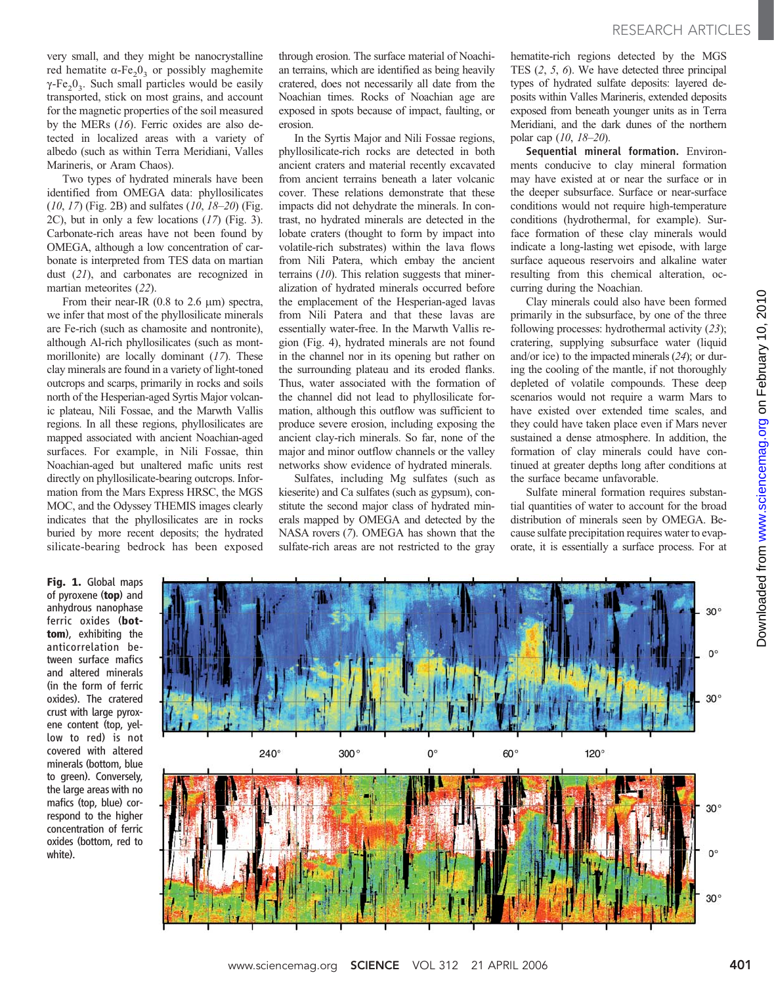Two types of hydrated minerals have been identified from OMEGA data: phyllosilicates  $(10, 17)$  (Fig. 2B) and sulfates  $(10, 18-20)$  (Fig. 2C), but in only a few locations (17) (Fig. 3). Carbonate-rich areas have not been found by OMEGA, although a low concentration of carbonate is interpreted from TES data on martian dust  $(21)$ , and carbonates are recognized in martian meteorites (22).

From their near-IR  $(0.8 \text{ to } 2.6 \text{ }\mu\text{m})$  spectra, we infer that most of the phyllosilicate minerals are Fe-rich (such as chamosite and nontronite), although Al-rich phyllosilicates (such as montmorillonite) are locally dominant (17). These clay minerals are found in a variety of light-toned outcrops and scarps, primarily in rocks and soils north of the Hesperian-aged Syrtis Major volcanic plateau, Nili Fossae, and the Marwth Vallis regions. In all these regions, phyllosilicates are mapped associated with ancient Noachian-aged surfaces. For example, in Nili Fossae, thin Noachian-aged but unaltered mafic units rest directly on phyllosilicate-bearing outcrops. Information from the Mars Express HRSC, the MGS MOC, and the Odyssey THEMIS images clearly indicates that the phyllosilicates are in rocks buried by more recent deposits; the hydrated silicate-bearing bedrock has been exposed

through erosion. The surface material of Noachian terrains, which are identified as being heavily cratered, does not necessarily all date from the Noachian times. Rocks of Noachian age are exposed in spots because of impact, faulting, or erosion.

In the Syrtis Major and Nili Fossae regions, phyllosilicate-rich rocks are detected in both ancient craters and material recently excavated from ancient terrains beneath a later volcanic cover. These relations demonstrate that these impacts did not dehydrate the minerals. In contrast, no hydrated minerals are detected in the lobate craters (thought to form by impact into volatile-rich substrates) within the lava flows from Nili Patera, which embay the ancient terrains (10). This relation suggests that mineralization of hydrated minerals occurred before the emplacement of the Hesperian-aged lavas from Nili Patera and that these lavas are essentially water-free. In the Marwth Vallis region (Fig. 4), hydrated minerals are not found in the channel nor in its opening but rather on the surrounding plateau and its eroded flanks. Thus, water associated with the formation of the channel did not lead to phyllosilicate formation, although this outflow was sufficient to produce severe erosion, including exposing the ancient clay-rich minerals. So far, none of the major and minor outflow channels or the valley networks show evidence of hydrated minerals.

Sulfates, including Mg sulfates (such as kieserite) and Ca sulfates (such as gypsum), constitute the second major class of hydrated minerals mapped by OMEGA and detected by the NASA rovers (7). OMEGA has shown that the sulfate-rich areas are not restricted to the gray

hematite-rich regions detected by the MGS TES (2, 5, 6). We have detected three principal types of hydrated sulfate deposits: layered deposits within Valles Marineris, extended deposits exposed from beneath younger units as in Terra Meridiani, and the dark dunes of the northern polar cap (10, 18–20).

Sequential mineral formation. Environments conducive to clay mineral formation may have existed at or near the surface or in the deeper subsurface. Surface or near-surface conditions would not require high-temperature conditions (hydrothermal, for example). Surface formation of these clay minerals would indicate a long-lasting wet episode, with large surface aqueous reservoirs and alkaline water resulting from this chemical alteration, occurring during the Noachian.

Clay minerals could also have been formed primarily in the subsurface, by one of the three following processes: hydrothermal activity (23); cratering, supplying subsurface water (liquid and/or ice) to the impacted minerals (24); or during the cooling of the mantle, if not thoroughly depleted of volatile compounds. These deep scenarios would not require a warm Mars to have existed over extended time scales, and they could have taken place even if Mars never sustained a dense atmosphere. In addition, the formation of clay minerals could have continued at greater depths long after conditions at the surface became unfavorable.

Sulfate mineral formation requires substantial quantities of water to account for the broad distribution of minerals seen by OMEGA. Because sulfate precipitation requires water to evaporate, it is essentially a surface process. For at

Fig. 1. Global maps of pyroxene (top) and anhydrous nanophase ferric oxides (bottom), exhibiting the anticorrelation between surface mafics and altered minerals (in the form of ferric oxides). The cratered crust with large pyroxene content (top, yellow to red) is not covered with altered minerals (bottom, blue to green). Conversely, the large areas with no mafics (top, blue) correspond to the higher concentration of ferric oxides (bottom, red to white).

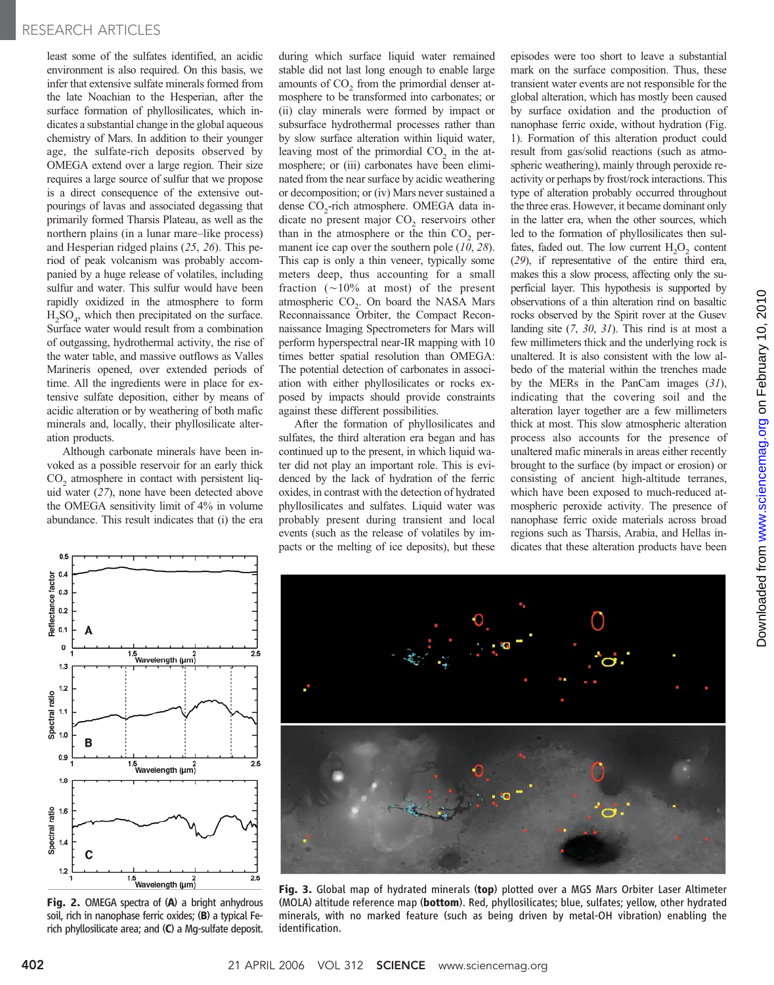least some of the sulfates identified, an acidic environment is also required. On this basis, we infer that extensive sulfate minerals formed from the late Noachian to the Hesperian, after the surface formation of phyllosilicates, which indicates a substantial change in the global aqueous chemistry of Mars. In addition to their younger age, the sulfate-rich deposits observed by OMEGA extend over a large region. Their size requires a large source of sulfur that we propose is a direct consequence of the extensive outpourings of lavas and associated degassing that primarily formed Tharsis Plateau, as well as the northern plains (in a lunar mare–like process) and Hesperian ridged plains (25, 26). This period of peak volcanism was probably accompanied by a huge release of volatiles, including sulfur and water. This sulfur would have been rapidly oxidized in the atmosphere to form  $H_2SO_4$ , which then precipitated on the surface. Surface water would result from a combination of outgassing, hydrothermal activity, the rise of the water table, and massive outflows as Valles Marineris opened, over extended periods of time. All the ingredients were in place for extensive sulfate deposition, either by means of acidic alteration or by weathering of both mafic minerals and, locally, their phyllosilicate alteration products.

Although carbonate minerals have been invoked as a possible reservoir for an early thick CO<sub>2</sub> atmosphere in contact with persistent liquid water (27), none have been detected above the OMEGA sensitivity limit of 4% in volume abundance. This result indicates that (i) the era during which surface liquid water remained stable did not last long enough to enable large amounts of  $CO<sub>2</sub>$  from the primordial denser atmosphere to be transformed into carbonates; or (ii) clay minerals were formed by impact or subsurface hydrothermal processes rather than by slow surface alteration within liquid water, leaving most of the primordial  $CO<sub>2</sub>$  in the atmosphere; or (iii) carbonates have been eliminated from the near surface by acidic weathering or decomposition; or (iv) Mars never sustained a dense CO<sub>2</sub>-rich atmosphere. OMEGA data indicate no present major CO<sub>2</sub> reservoirs other than in the atmosphere or the thin  $CO<sub>2</sub>$  permanent ice cap over the southern pole (10, 28). This cap is only a thin veneer, typically some meters deep, thus accounting for a small fraction  $(\sim 10\%$  at most) of the present atmospheric  $CO<sub>2</sub>$ . On board the NASA Mars Reconnaissance Orbiter, the Compact Reconnaissance Imaging Spectrometers for Mars will perform hyperspectral near-IR mapping with 10 times better spatial resolution than OMEGA: The potential detection of carbonates in association with either phyllosilicates or rocks exposed by impacts should provide constraints against these different possibilities.

After the formation of phyllosilicates and sulfates, the third alteration era began and has continued up to the present, in which liquid water did not play an important role. This is evidenced by the lack of hydration of the ferric oxides, in contrast with the detection of hydrated phyllosilicates and sulfates. Liquid water was probably present during transient and local events (such as the release of volatiles by impacts or the melting of ice deposits), but these episodes were too short to leave a substantial mark on the surface composition. Thus, these transient water events are not responsible for the global alteration, which has mostly been caused by surface oxidation and the production of nanophase ferric oxide, without hydration (Fig. 1). Formation of this alteration product could result from gas/solid reactions (such as atmospheric weathering), mainly through peroxide reactivity or perhaps by frost/rock interactions. This type of alteration probably occurred throughout the three eras. However, it became dominant only in the latter era, when the other sources, which led to the formation of phyllosilicates then sulfates, faded out. The low current  $H_2O_2$  content (29), if representative of the entire third era, makes this a slow process, affecting only the superficial layer. This hypothesis is supported by observations of a thin alteration rind on basaltic rocks observed by the Spirit rover at the Gusev landing site  $(7, 30, 31)$ . This rind is at most a few millimeters thick and the underlying rock is unaltered. It is also consistent with the low albedo of the material within the trenches made by the MERs in the PanCam images (31), indicating that the covering soil and the alteration layer together are a few millimeters thick at most. This slow atmospheric alteration process also accounts for the presence of unaltered mafic minerals in areas either recently brought to the surface (by impact or erosion) or consisting of ancient high-altitude terranes, which have been exposed to much-reduced atmospheric peroxide activity. The presence of nanophase ferric oxide materials across broad regions such as Tharsis, Arabia, and Hellas indicates that these alteration products have been



Fig. 2. OMEGA spectra of (A) a bright anhydrous soil, rich in nanophase ferric oxides; (B) a typical Ferich phyllosilicate area; and (C) a Mg-sulfate deposit.



Fig. 3. Global map of hydrated minerals (top) plotted over a MGS Mars Orbiter Laser Altimeter (MOLA) altitude reference map (bottom). Red, phyllosilicates; blue, sulfates; yellow, other hydrated minerals, with no marked feature (such as being driven by metal-OH vibration) enabling the identification.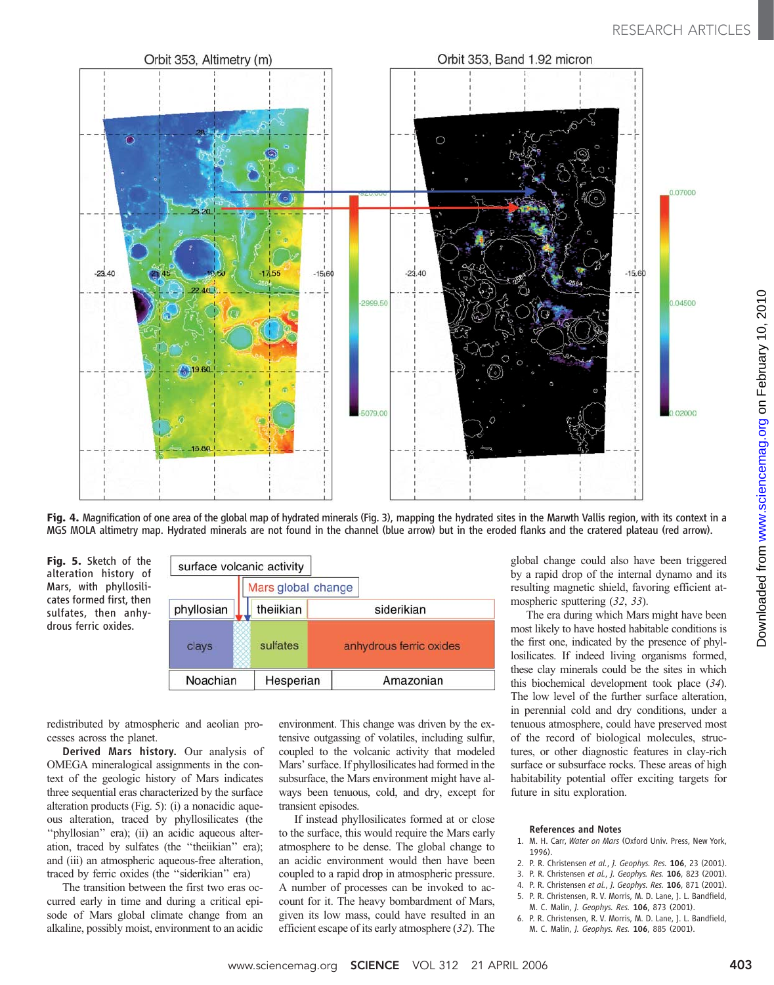

Fig. 4. Magnification of one area of the global map of hydrated minerals (Fig. 3), mapping the hydrated sites in the Marwth Vallis region, with its context in a MGS MOLA altimetry map. Hydrated minerals are not found in the channel (blue arrow) but in the eroded flanks and the cratered plateau (red arrow).

Fig. 5. Sketch of the alteration history of Mars, with phyllosilicates formed first, then sulfates, then anhydrous ferric oxides.



redistributed by atmospheric and aeolian processes across the planet.

Derived Mars history. Our analysis of OMEGA mineralogical assignments in the context of the geologic history of Mars indicates three sequential eras characterized by the surface alteration products (Fig. 5): (i) a nonacidic aqueous alteration, traced by phyllosilicates (the ''phyllosian'' era); (ii) an acidic aqueous alteration, traced by sulfates (the ''theiikian'' era); and (iii) an atmospheric aqueous-free alteration, traced by ferric oxides (the ''siderikian'' era)

The transition between the first two eras occurred early in time and during a critical episode of Mars global climate change from an alkaline, possibly moist, environment to an acidic

environment. This change was driven by the extensive outgassing of volatiles, including sulfur, coupled to the volcanic activity that modeled Mars' surface. If phyllosilicates had formed in the subsurface, the Mars environment might have always been tenuous, cold, and dry, except for transient episodes.

If instead phyllosilicates formed at or close to the surface, this would require the Mars early atmosphere to be dense. The global change to an acidic environment would then have been coupled to a rapid drop in atmospheric pressure. A number of processes can be invoked to account for it. The heavy bombardment of Mars, given its low mass, could have resulted in an efficient escape of its early atmosphere (32). The

global change could also have been triggered by a rapid drop of the internal dynamo and its resulting magnetic shield, favoring efficient atmospheric sputtering (32, 33).

The era during which Mars might have been most likely to have hosted habitable conditions is the first one, indicated by the presence of phyllosilicates. If indeed living organisms formed, these clay minerals could be the sites in which this biochemical development took place (34). The low level of the further surface alteration, in perennial cold and dry conditions, under a tenuous atmosphere, could have preserved most of the record of biological molecules, structures, or other diagnostic features in clay-rich surface or subsurface rocks. These areas of high habitability potential offer exciting targets for future in situ exploration.

## References and Notes

- 1. M. H. Carr, Water on Mars (Oxford Univ. Press, New York, 1996).
- 2. P. R. Christensen et al., J. Geophys. Res. 106, 23 (2001).
- 3. P. R. Christensen et al., J. Geophys. Res. 106, 823 (2001).
- 4. P. R. Christensen et al., J. Geophys. Res. 106, 871 (2001).
- 5. P. R. Christensen, R. V. Morris, M. D. Lane, J. L. Bandfield,
- M. C. Malin, J. Geophys. Res. 106, 873 (2001).
- 6. P. R. Christensen, R. V. Morris, M. D. Lane, J. L. Bandfield, M. C. Malin, J. Geophys. Res. 106, 885 (2001).